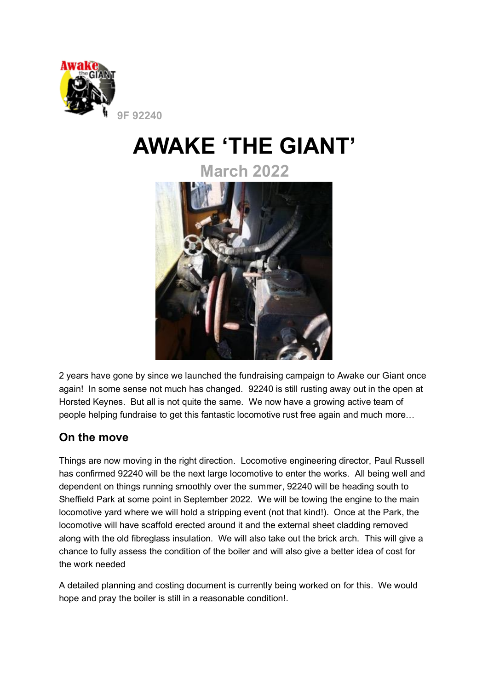

# **AWAKE 'THE GIANT'**

**March 2022**



2 years have gone by since we launched the fundraising campaign to Awake our Giant once again! In some sense not much has changed. 92240 is still rusting away out in the open at Horsted Keynes. But all is not quite the same. We now have a growing active team of people helping fundraise to get this fantastic locomotive rust free again and much more…

#### **On the move**

Things are now moving in the right direction. Locomotive engineering director, Paul Russell has confirmed 92240 will be the next large locomotive to enter the works. All being well and dependent on things running smoothly over the summer, 92240 will be heading south to Sheffield Park at some point in September 2022. We will be towing the engine to the main locomotive yard where we will hold a stripping event (not that kind!). Once at the Park, the locomotive will have scaffold erected around it and the external sheet cladding removed along with the old fibreglass insulation. We will also take out the brick arch. This will give a chance to fully assess the condition of the boiler and will also give a better idea of cost for the work needed

A detailed planning and costing document is currently being worked on for this. We would hope and pray the boiler is still in a reasonable condition!.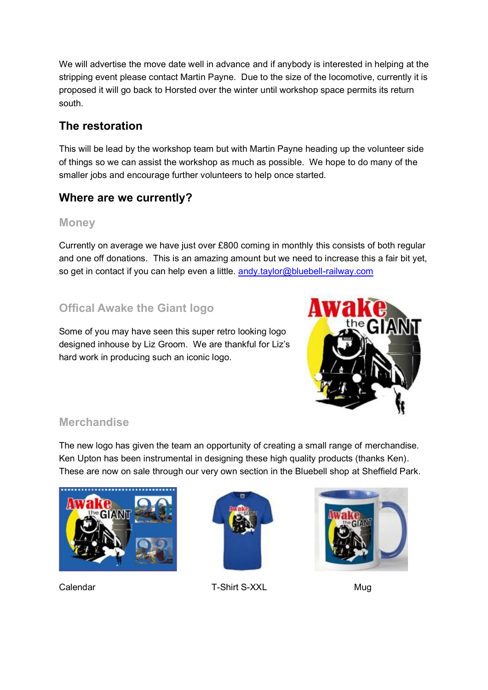We will advertise the move date well in advance and if anybody is interested in helping at the stripping event please contact Martin Payne. Due to the size of the locomotive, currently it is proposed it will go back to Horsted over the winter until workshop space permits its return south.

# **The restoration**

This will be lead by the workshop team but with Martin Payne heading up the volunteer side of things so we can assist the workshop as much as possible. We hope to do many of the smaller jobs and encourage further volunteers to help once started.

# **Where are we currently?**

#### **Money**

Currently on average we have just over £800 coming in monthly this consists of both regular and one off donations. This is an amazing amount but we need to increase this a fair bit yet, so get in contact if you can help even a little. andy taylor@bluebell-railway.com

# **Offical Awake the Giant logo**

Some of you may have seen this super retro looking logo designed inhouse by Liz Groom. We are thankful for Liz's hard work in producing such an iconic logo.



#### **Merchandise**

The new logo has given the team an opportunity of creating a small range of merchandise. Ken Upton has been instrumental in designing these high quality products (thanks Ken). These are now on sale through our very own section in the Bluebell shop at Sheffield Park.





Calendar T-Shirt S-XXL Mug

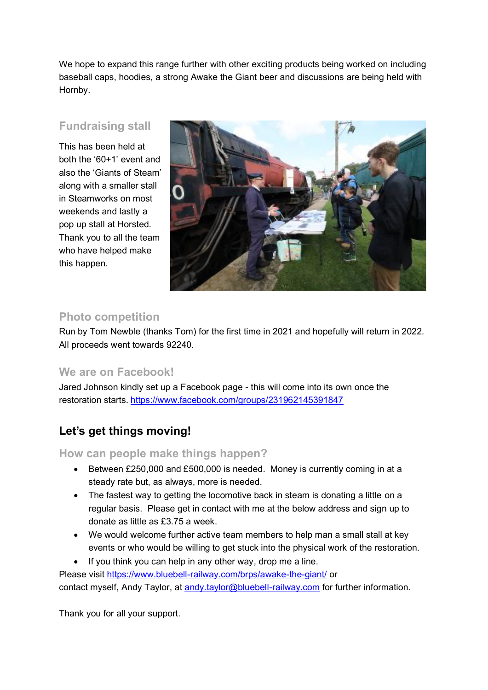We hope to expand this range further with other exciting products being worked on including baseball caps, hoodies, a strong Awake the Giant beer and discussions are being held with Hornby.

#### **Fundraising stall**

This has been held at both the '60+1' event and also the 'Giants of Steam' along with a smaller stall in Steamworks on most weekends and lastly a pop up stall at Horsted. Thank you to all the team who have helped make this happen.



#### **Photo competition**

Run by Tom Newble (thanks Tom) for the first time in 2021 and hopefully will return in 2022. All proceeds went towards 92240.

#### **We are on Facebook!**

Jared Johnson kindly set up a Facebook page - this will come into its own once the restoration starts. <https://www.facebook.com/groups/231962145391847>

### **Let's get things moving!**

**How can people make things happen?**

- Between £250,000 and £500,000 is needed. Money is currently coming in at a steady rate but, as always, more is needed.
- The fastest way to getting the locomotive back in steam is donating a little on a regular basis. Please get in contact with me at the below address and sign up to donate as little as £3.75 a week.
- We would welcome further active team members to help man a small stall at key events or who would be willing to get stuck into the physical work of the restoration.
- If you think you can help in any other way, drop me a line.

Please visit<https://www.bluebell-railway.com/brps/awake-the-giant/> or contact myself, Andy Taylor, at andy taylor@bluebell-railway.com for further information.

Thank you for all your support.